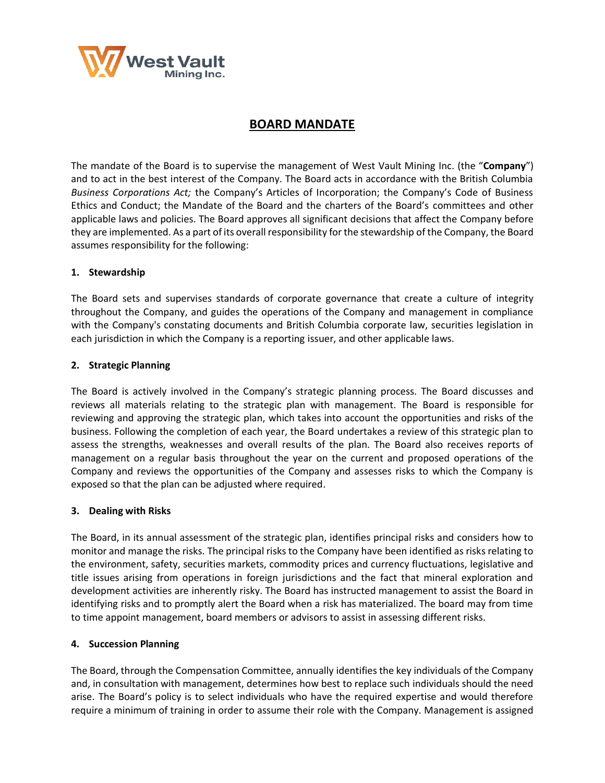

# **BOARD MANDATE**

The mandate of the Board is to supervise the management of West Vault Mining Inc. (the "**Company**") and to act in the best interest of the Company. The Board acts in accordance with the British Columbia *Business Corporations Act;* the Company's Articles of Incorporation; the Company's Code of Business Ethics and Conduct; the Mandate of the Board and the charters of the Board's committees and other applicable laws and policies. The Board approves all significant decisions that affect the Company before they are implemented. As a part of its overall responsibility for the stewardship of the Company, the Board assumes responsibility for the following:

#### **1. Stewardship**

The Board sets and supervises standards of corporate governance that create a culture of integrity throughout the Company, and guides the operations of the Company and management in compliance with the Company's constating documents and British Columbia corporate law, securities legislation in each jurisdiction in which the Company is a reporting issuer, and other applicable laws.

#### **2. Strategic Planning**

The Board is actively involved in the Company's strategic planning process. The Board discusses and reviews all materials relating to the strategic plan with management. The Board is responsible for reviewing and approving the strategic plan, which takes into account the opportunities and risks of the business. Following the completion of each year, the Board undertakes a review of this strategic plan to assess the strengths, weaknesses and overall results of the plan. The Board also receives reports of management on a regular basis throughout the year on the current and proposed operations of the Company and reviews the opportunities of the Company and assesses risks to which the Company is exposed so that the plan can be adjusted where required.

#### **3. Dealing with Risks**

The Board, in its annual assessment of the strategic plan, identifies principal risks and considers how to monitor and manage the risks. The principal risks to the Company have been identified as risks relating to the environment, safety, securities markets, commodity prices and currency fluctuations, legislative and title issues arising from operations in foreign jurisdictions and the fact that mineral exploration and development activities are inherently risky. The Board has instructed management to assist the Board in identifying risks and to promptly alert the Board when a risk has materialized. The board may from time to time appoint management, board members or advisors to assist in assessing different risks.

#### **4. Succession Planning**

The Board, through the Compensation Committee, annually identifies the key individuals of the Company and, in consultation with management, determines how best to replace such individuals should the need arise. The Board's policy is to select individuals who have the required expertise and would therefore require a minimum of training in order to assume their role with the Company. Management is assigned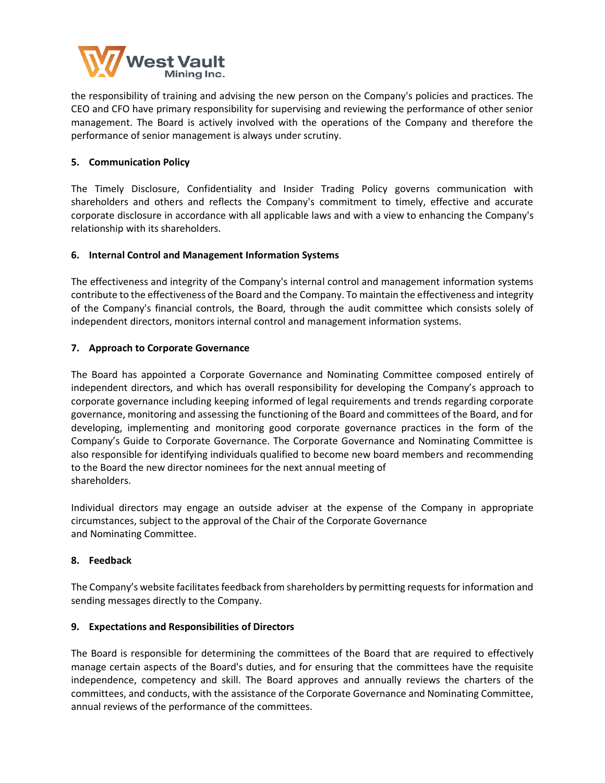

the responsibility of training and advising the new person on the Company's policies and practices. The CEO and CFO have primary responsibility for supervising and reviewing the performance of other senior management. The Board is actively involved with the operations of the Company and therefore the performance of senior management is always under scrutiny.

# **5. Communication Policy**

The Timely Disclosure, Confidentiality and Insider Trading Policy governs communication with shareholders and others and reflects the Company's commitment to timely, effective and accurate corporate disclosure in accordance with all applicable laws and with a view to enhancing the Company's relationship with its shareholders.

## **6. Internal Control and Management Information Systems**

The effectiveness and integrity of the Company's internal control and management information systems contribute to the effectiveness of the Board and the Company. To maintain the effectiveness and integrity of the Company's financial controls, the Board, through the audit committee which consists solely of independent directors, monitors internal control and management information systems.

# **7. Approach to Corporate Governance**

The Board has appointed a Corporate Governance and Nominating Committee composed entirely of independent directors, and which has overall responsibility for developing the Company's approach to corporate governance including keeping informed of legal requirements and trends regarding corporate governance, monitoring and assessing the functioning of the Board and committees of the Board, and for developing, implementing and monitoring good corporate governance practices in the form of the Company's Guide to Corporate Governance. The Corporate Governance and Nominating Committee is also responsible for identifying individuals qualified to become new board members and recommending to the Board the new director nominees for the next annual meeting of shareholders.

Individual directors may engage an outside adviser at the expense of the Company in appropriate circumstances, subject to the approval of the Chair of the Corporate Governance and Nominating Committee.

## **8. Feedback**

The Company's website facilitates feedback from shareholders by permitting requests for information and sending messages directly to the Company.

## **9. Expectations and Responsibilities of Directors**

The Board is responsible for determining the committees of the Board that are required to effectively manage certain aspects of the Board's duties, and for ensuring that the committees have the requisite independence, competency and skill. The Board approves and annually reviews the charters of the committees, and conducts, with the assistance of the Corporate Governance and Nominating Committee, annual reviews of the performance of the committees.